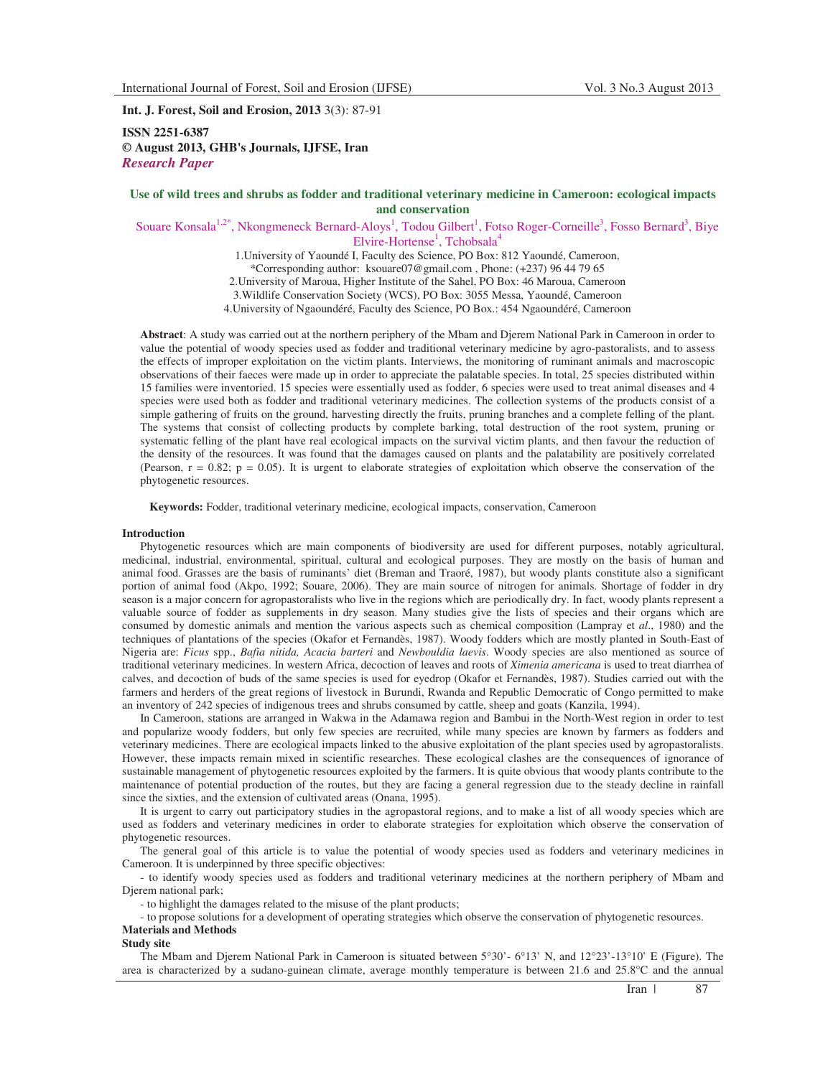**Int. J. Forest, Soil and Erosion, 2013** 3(3): 87-91

**ISSN 2251-6387 © August 2013, GHB's Journals, IJFSE, Iran** *Research Paper* 

# **Use of wild trees and shrubs as fodder and traditional veterinary medicine in Cameroon: ecological impacts and conservation**

Souare Konsala<sup>1,2\*</sup>, Nkongmeneck Bernard-Aloys<sup>1</sup>, Todou Gilbert<sup>1</sup>, Fotso Roger-Corneille<sup>3</sup>, Fosso Bernard<sup>3</sup>, Biye Elvire-Hortense<sup>1</sup>, Tchobsala<sup>4</sup>

1.University of Yaoundé I, Faculty des Science, PO Box: 812 Yaoundé, Cameroon, \*Corresponding author: ksouare07@gmail.com , Phone: (+237) 96 44 79 65 2.University of Maroua, Higher Institute of the Sahel, PO Box: 46 Maroua, Cameroon 3.Wildlife Conservation Society (WCS), PO Box: 3055 Messa, Yaoundé, Cameroon 4.University of Ngaoundéré, Faculty des Science, PO Box.: 454 Ngaoundéré, Cameroon

**Abstract**: A study was carried out at the northern periphery of the Mbam and Djerem National Park in Cameroon in order to value the potential of woody species used as fodder and traditional veterinary medicine by agro-pastoralists, and to assess the effects of improper exploitation on the victim plants. Interviews, the monitoring of ruminant animals and macroscopic observations of their faeces were made up in order to appreciate the palatable species. In total, 25 species distributed within 15 families were inventoried. 15 species were essentially used as fodder, 6 species were used to treat animal diseases and 4 species were used both as fodder and traditional veterinary medicines. The collection systems of the products consist of a simple gathering of fruits on the ground, harvesting directly the fruits, pruning branches and a complete felling of the plant. The systems that consist of collecting products by complete barking, total destruction of the root system, pruning or systematic felling of the plant have real ecological impacts on the survival victim plants, and then favour the reduction of the density of the resources. It was found that the damages caused on plants and the palatability are positively correlated (Pearson,  $r = 0.82$ ;  $p = 0.05$ ). It is urgent to elaborate strategies of exploitation which observe the conservation of the phytogenetic resources.

**Keywords:** Fodder, traditional veterinary medicine, ecological impacts, conservation, Cameroon

### **Introduction**

Phytogenetic resources which are main components of biodiversity are used for different purposes, notably agricultural, medicinal, industrial, environmental, spiritual, cultural and ecological purposes. They are mostly on the basis of human and animal food. Grasses are the basis of ruminants' diet (Breman and Traoré, 1987), but woody plants constitute also a significant portion of animal food (Akpo, 1992; Souare, 2006). They are main source of nitrogen for animals. Shortage of fodder in dry season is a major concern for agropastoralists who live in the regions which are periodically dry. In fact, woody plants represent a valuable source of fodder as supplements in dry season. Many studies give the lists of species and their organs which are consumed by domestic animals and mention the various aspects such as chemical composition (Lampray et *al*., 1980) and the techniques of plantations of the species (Okafor et Fernandès, 1987). Woody fodders which are mostly planted in South-East of Nigeria are: *Ficus* spp., *Bafia nitida, Acacia barteri* and *Newbouldia laevis*. Woody species are also mentioned as source of traditional veterinary medicines. In western Africa, decoction of leaves and roots of *Ximenia americana* is used to treat diarrhea of calves, and decoction of buds of the same species is used for eyedrop (Okafor et Fernandès, 1987). Studies carried out with the farmers and herders of the great regions of livestock in Burundi, Rwanda and Republic Democratic of Congo permitted to make an inventory of 242 species of indigenous trees and shrubs consumed by cattle, sheep and goats (Kanzila, 1994).

In Cameroon, stations are arranged in Wakwa in the Adamawa region and Bambui in the North-West region in order to test and popularize woody fodders, but only few species are recruited, while many species are known by farmers as fodders and veterinary medicines. There are ecological impacts linked to the abusive exploitation of the plant species used by agropastoralists. However, these impacts remain mixed in scientific researches. These ecological clashes are the consequences of ignorance of sustainable management of phytogenetic resources exploited by the farmers. It is quite obvious that woody plants contribute to the maintenance of potential production of the routes, but they are facing a general regression due to the steady decline in rainfall since the sixties, and the extension of cultivated areas (Onana, 1995).

It is urgent to carry out participatory studies in the agropastoral regions, and to make a list of all woody species which are used as fodders and veterinary medicines in order to elaborate strategies for exploitation which observe the conservation of phytogenetic resources.

The general goal of this article is to value the potential of woody species used as fodders and veterinary medicines in Cameroon. It is underpinned by three specific objectives:

- to identify woody species used as fodders and traditional veterinary medicines at the northern periphery of Mbam and Djerem national park;

- to highlight the damages related to the misuse of the plant products;

- to propose solutions for a development of operating strategies which observe the conservation of phytogenetic resources. **Materials and Methods** 

**Study site** 

The Mbam and Djerem National Park in Cameroon is situated between 5°30'- 6°13' N, and 12°23'-13°10' E (Figure). The area is characterized by a sudano-guinean climate, average monthly temperature is between 21.6 and 25.8°C and the annual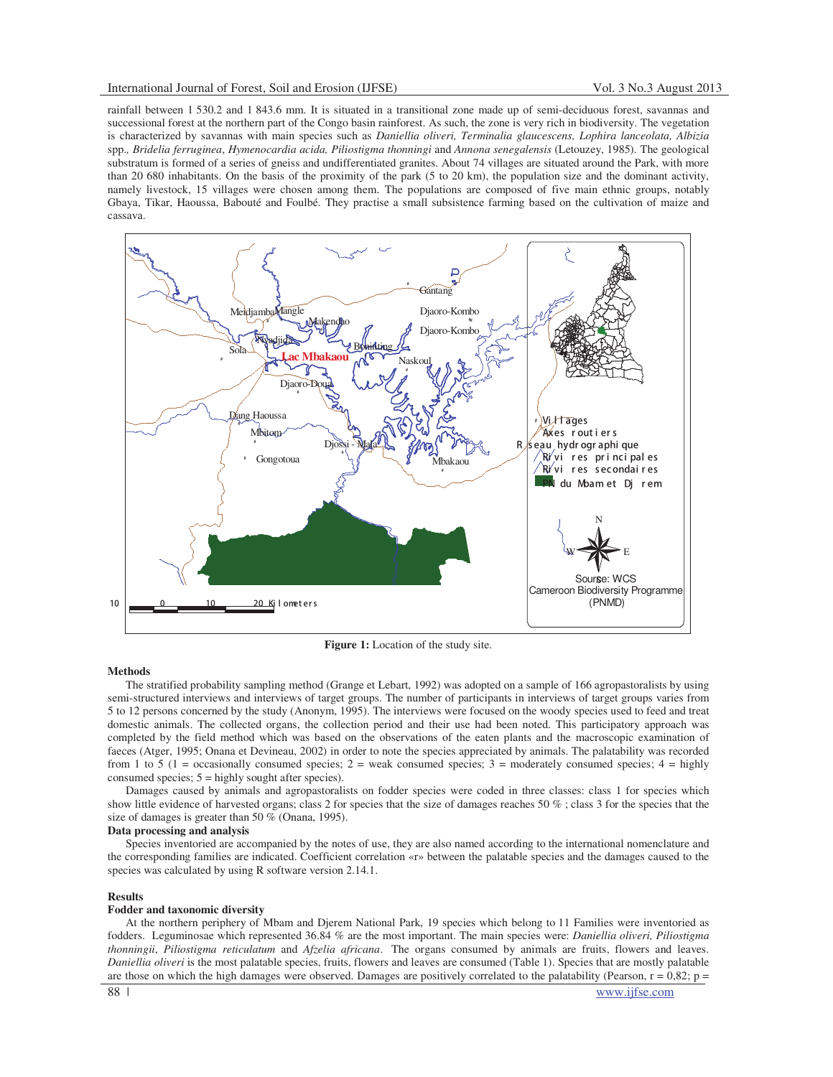rainfall between 1 530.2 and 1 843.6 mm. It is situated in a transitional zone made up of semi-deciduous forest, savannas and successional forest at the northern part of the Congo basin rainforest. As such, the zone is very rich in biodiversity. The vegetation is characterized by savannas with main species such as *Daniellia oliveri, Terminalia glaucescens, Lophira lanceolata, Albizia* spp.*, Bridelia ferruginea*, *Hymenocardia acida, Piliostigma thonningi* and *Annona senegalensis* (Letouzey, 1985)*.* The geological substratum is formed of a series of gneiss and undifferentiated granites. About 74 villages are situated around the Park, with more than 20 680 inhabitants. On the basis of the proximity of the park (5 to 20 km), the population size and the dominant activity, namely livestock, 15 villages were chosen among them. The populations are composed of five main ethnic groups, notably Gbaya, Tikar, Haoussa, Babouté and Foulbé. They practise a small subsistence farming based on the cultivation of maize and cassava.



**Figure 1:** Location of the study site.

### **Methods**

The stratified probability sampling method (Grange et Lebart, 1992) was adopted on a sample of 166 agropastoralists by using semi-structured interviews and interviews of target groups. The number of participants in interviews of target groups varies from 5 to 12 persons concerned by the study (Anonym, 1995). The interviews were focused on the woody species used to feed and treat domestic animals. The collected organs, the collection period and their use had been noted. This participatory approach was completed by the field method which was based on the observations of the eaten plants and the macroscopic examination of faeces (Atger, 1995; Onana et Devineau, 2002) in order to note the species appreciated by animals. The palatability was recorded from 1 to 5 (1 = occasionally consumed species;  $2 =$  weak consumed species;  $3 =$  moderately consumed species;  $4 =$  highly consumed species; 5 = highly sought after species).

Damages caused by animals and agropastoralists on fodder species were coded in three classes: class 1 for species which show little evidence of harvested organs; class 2 for species that the size of damages reaches 50 % ; class 3 for the species that the size of damages is greater than 50 % (Onana, 1995).

## **Data processing and analysis**

Species inventoried are accompanied by the notes of use, they are also named according to the international nomenclature and the corresponding families are indicated. Coefficient correlation «r» between the palatable species and the damages caused to the species was calculated by using R software version 2.14.1.

### **Results**

## **Fodder and taxonomic diversity**

At the northern periphery of Mbam and Djerem National Park, 19 species which belong to 11 Families were inventoried as fodders. Leguminosae which represented 36.84 % are the most important. The main species were: *Daniellia oliveri, Piliostigma thonningii*, *Piliostigma reticulatum* and *Afzelia africana*. The organs consumed by animals are fruits, flowers and leaves. *Daniellia oliveri* is the most palatable species, fruits, flowers and leaves are consumed (Table 1). Species that are mostly palatable are those on which the high damages were observed. Damages are positively correlated to the palatability (Pearson,  $r = 0.82$ ;  $p =$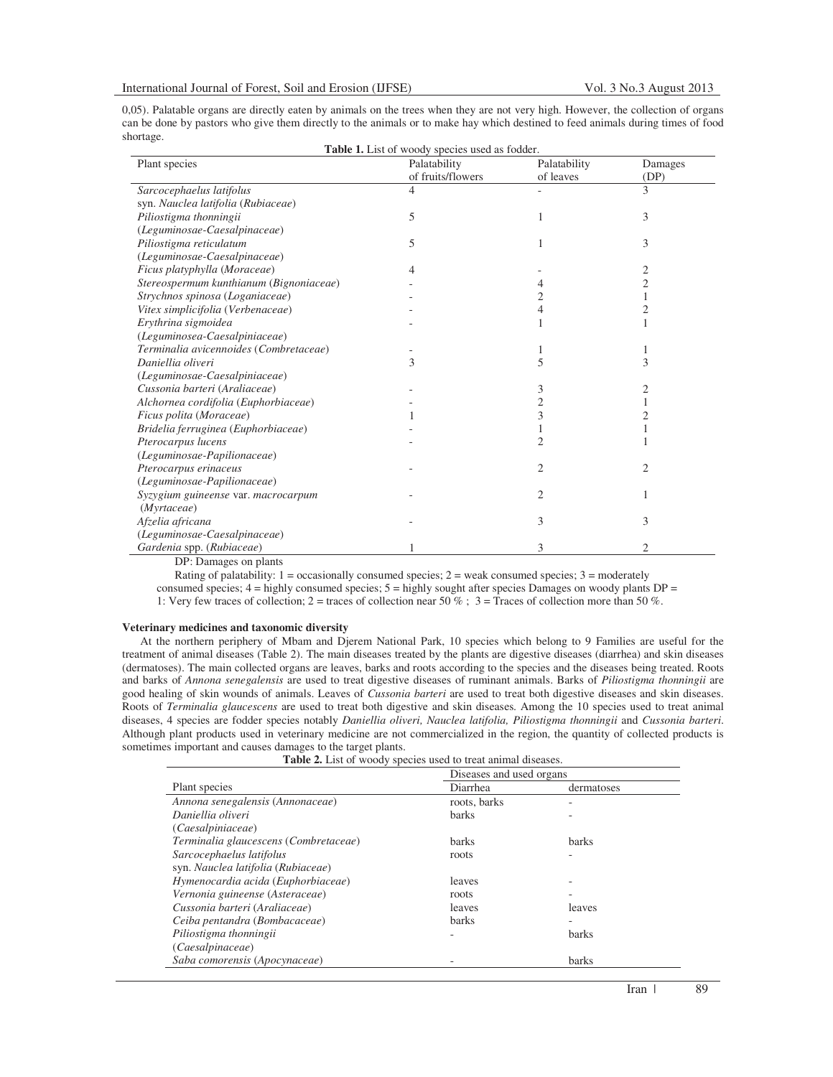0,05). Palatable organs are directly eaten by animals on the trees when they are not very high. However, the collection of organs can be done by pastors who give them directly to the animals or to make hay which destined to feed animals during times of food shortage. **Table 1.** List of woody species used as fodder.

| <b>Table 1.</b> List of woody species used as fodder.<br>Palatability<br>Palatability |                   |                |                 |  |  |
|---------------------------------------------------------------------------------------|-------------------|----------------|-----------------|--|--|
| Plant species                                                                         | of fruits/flowers | of leaves      | Damages<br>(DP) |  |  |
|                                                                                       | 4                 |                | 3               |  |  |
| Sarcocephaelus latifolus                                                              |                   |                |                 |  |  |
| syn. Nauclea latifolia (Rubiaceae)                                                    |                   |                |                 |  |  |
| Piliostigma thonningii                                                                | 5                 |                | 3               |  |  |
| (Leguminosae-Caesalpinaceae)                                                          |                   |                |                 |  |  |
| Piliostigma reticulatum                                                               | 5                 |                | 3               |  |  |
| (Leguminosae-Caesalpinaceae)                                                          |                   |                |                 |  |  |
| Ficus platyphylla (Moraceae)                                                          |                   |                |                 |  |  |
| Stereospermum kunthianum (Bignoniaceae)                                               |                   |                |                 |  |  |
| Strychnos spinosa (Loganiaceae)                                                       |                   |                |                 |  |  |
| Vitex simplicifolia (Verbenaceae)                                                     |                   | 4              |                 |  |  |
| Erythrina sigmoidea                                                                   |                   |                |                 |  |  |
| (Leguminosea-Caesalpiniaceae)                                                         |                   |                |                 |  |  |
| Terminalia avicennoides (Combretaceae)                                                |                   |                |                 |  |  |
| Daniellia oliveri                                                                     | 3                 | 5              | 3               |  |  |
| (Leguminosae-Caesalpiniaceae)                                                         |                   |                |                 |  |  |
| Cussonia barteri (Araliaceae)                                                         |                   | 3              |                 |  |  |
| Alchornea cordifolia (Euphorbiaceae)                                                  |                   | 2              |                 |  |  |
| Ficus polita (Moraceae)                                                               |                   | 3              |                 |  |  |
| Bridelia ferruginea (Euphorbiaceae)                                                   |                   |                |                 |  |  |
| Pterocarpus lucens                                                                    |                   | $\overline{2}$ |                 |  |  |
| (Leguminosae-Papilionaceae)                                                           |                   |                |                 |  |  |
| Pterocarpus erinaceus                                                                 |                   | 2              | 2               |  |  |
| (Leguminosae-Papilionaceae)                                                           |                   |                |                 |  |  |
| Syzygium guineense var. macrocarpum                                                   |                   | 2              |                 |  |  |
| (Myrtaceae)                                                                           |                   |                |                 |  |  |
| Afzelia africana                                                                      |                   | 3              | 3               |  |  |
| (Leguminosae-Caesalpinaceae)                                                          |                   |                |                 |  |  |
| Gardenia spp. (Rubiaceae)                                                             |                   | 3              |                 |  |  |

DP: Damages on plants

Rating of palatability:  $1 =$  occasionally consumed species;  $2 =$  weak consumed species;  $3 =$  moderately consumed species; 4 = highly consumed species; 5 = highly sought after species Damages on woody plants DP = 1: Very few traces of collection; 2 = traces of collection near 50 %; 3 = Traces of collection more than 50 %.

### **Veterinary medicines and taxonomic diversity**

At the northern periphery of Mbam and Djerem National Park, 10 species which belong to 9 Families are useful for the treatment of animal diseases (Table 2). The main diseases treated by the plants are digestive diseases (diarrhea) and skin diseases (dermatoses). The main collected organs are leaves, barks and roots according to the species and the diseases being treated. Roots and barks of *Annona senegalensis* are used to treat digestive diseases of ruminant animals. Barks of *Piliostigma thonningii* are good healing of skin wounds of animals. Leaves of *Cussonia barteri* are used to treat both digestive diseases and skin diseases. Roots of *Terminalia glaucescens* are used to treat both digestive and skin diseases. Among the 10 species used to treat animal diseases, 4 species are fodder species notably *Daniellia oliveri, Nauclea latifolia, Piliostigma thonningii* and *Cussonia barteri*. Although plant products used in veterinary medicine are not commercialized in the region, the quantity of collected products is sometimes important and causes damages to the target plants.

|  | <b>Table 2.</b> List of woody species used to treat animal diseases. |
|--|----------------------------------------------------------------------|
|--|----------------------------------------------------------------------|

|                                       | Diseases and used organs |                          |  |
|---------------------------------------|--------------------------|--------------------------|--|
| Plant species                         | Diarrhea                 | dermatoses               |  |
| Annona senegalensis (Annonaceae)      | roots, barks             |                          |  |
| Daniellia oliveri                     | <b>barks</b>             |                          |  |
| (Caesalpiniaceae)                     |                          |                          |  |
| Terminalia glaucescens (Combretaceae) | <b>barks</b>             | <b>barks</b>             |  |
| Sarcocephaelus latifolus              | roots                    | $\overline{\phantom{a}}$ |  |
| syn. Nauclea latifolia (Rubiaceae)    |                          |                          |  |
| Hymenocardia acida (Euphorbiaceae)    | leaves                   |                          |  |
| Vernonia guineense (Asteraceae)       | roots                    |                          |  |
| Cussonia barteri (Araliaceae)         | leaves                   | leaves                   |  |
| Ceiba pentandra (Bombacaceae)         | <b>barks</b>             | ۰                        |  |
| Piliostigma thonningii                |                          | <b>barks</b>             |  |
| (Caesalpinaceae)                      |                          |                          |  |
| Saba comorensis (Apocynaceae)         |                          | barks                    |  |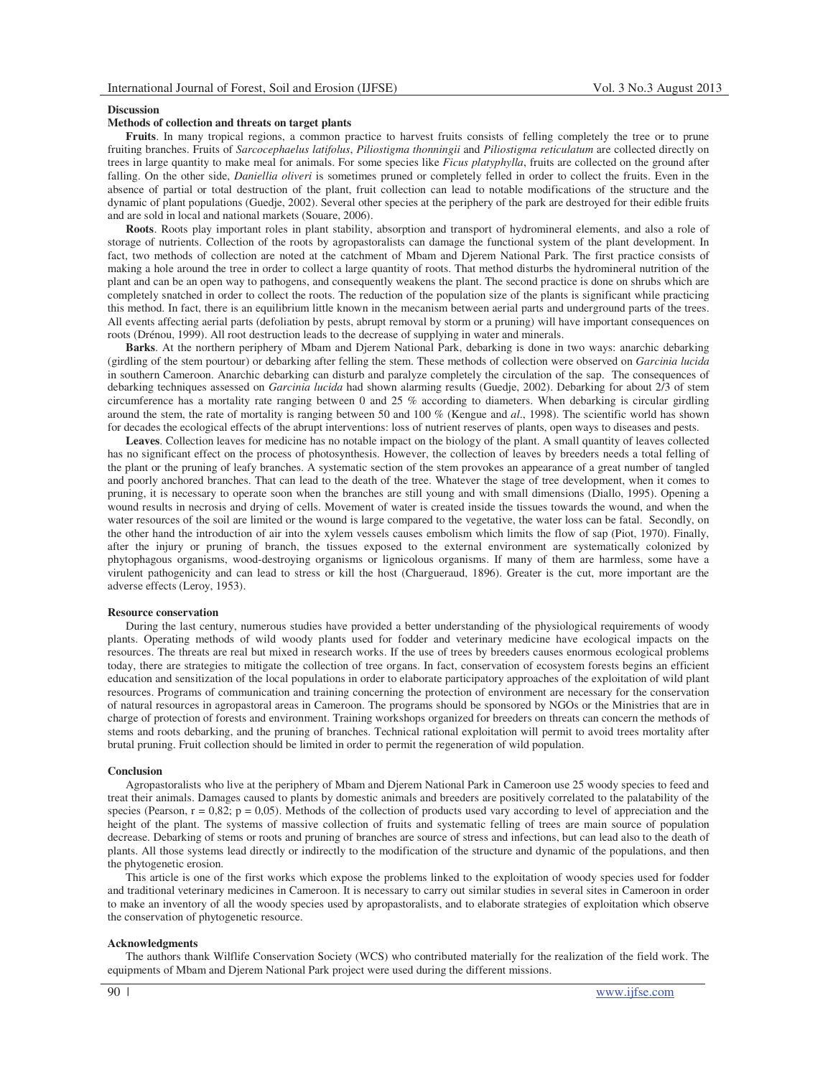### **Discussion**

# **Methods of collection and threats on target plants**

**Fruits**. In many tropical regions, a common practice to harvest fruits consists of felling completely the tree or to prune fruiting branches. Fruits of *Sarcocephaelus latifolus*, *Piliostigma thonningii* and *Piliostigma reticulatum* are collected directly on trees in large quantity to make meal for animals. For some species like *Ficus platyphylla*, fruits are collected on the ground after falling. On the other side, *Daniellia oliveri* is sometimes pruned or completely felled in order to collect the fruits. Even in the absence of partial or total destruction of the plant, fruit collection can lead to notable modifications of the structure and the dynamic of plant populations (Guedje, 2002). Several other species at the periphery of the park are destroyed for their edible fruits and are sold in local and national markets (Souare, 2006).

**Roots**. Roots play important roles in plant stability, absorption and transport of hydromineral elements, and also a role of storage of nutrients. Collection of the roots by agropastoralists can damage the functional system of the plant development. In fact, two methods of collection are noted at the catchment of Mbam and Djerem National Park. The first practice consists of making a hole around the tree in order to collect a large quantity of roots. That method disturbs the hydromineral nutrition of the plant and can be an open way to pathogens, and consequently weakens the plant. The second practice is done on shrubs which are completely snatched in order to collect the roots. The reduction of the population size of the plants is significant while practicing this method. In fact, there is an equilibrium little known in the mecanism between aerial parts and underground parts of the trees. All events affecting aerial parts (defoliation by pests, abrupt removal by storm or a pruning) will have important consequences on roots (Drénou, 1999). All root destruction leads to the decrease of supplying in water and minerals.

**Barks**. At the northern periphery of Mbam and Djerem National Park, debarking is done in two ways: anarchic debarking (girdling of the stem pourtour) or debarking after felling the stem. These methods of collection were observed on *Garcinia lucida* in southern Cameroon. Anarchic debarking can disturb and paralyze completely the circulation of the sap. The consequences of debarking techniques assessed on *Garcinia lucida* had shown alarming results (Guedje, 2002). Debarking for about 2/3 of stem circumference has a mortality rate ranging between 0 and 25 % according to diameters. When debarking is circular girdling around the stem, the rate of mortality is ranging between 50 and 100 % (Kengue and *al*., 1998). The scientific world has shown for decades the ecological effects of the abrupt interventions: loss of nutrient reserves of plants, open ways to diseases and pests.

**Leaves**. Collection leaves for medicine has no notable impact on the biology of the plant. A small quantity of leaves collected has no significant effect on the process of photosynthesis. However, the collection of leaves by breeders needs a total felling of the plant or the pruning of leafy branches. A systematic section of the stem provokes an appearance of a great number of tangled and poorly anchored branches. That can lead to the death of the tree. Whatever the stage of tree development, when it comes to pruning, it is necessary to operate soon when the branches are still young and with small dimensions (Diallo, 1995). Opening a wound results in necrosis and drying of cells. Movement of water is created inside the tissues towards the wound, and when the water resources of the soil are limited or the wound is large compared to the vegetative, the water loss can be fatal. Secondly, on the other hand the introduction of air into the xylem vessels causes embolism which limits the flow of sap (Piot, 1970). Finally, after the injury or pruning of branch, the tissues exposed to the external environment are systematically colonized by phytophagous organisms, wood-destroying organisms or lignicolous organisms. If many of them are harmless, some have a virulent pathogenicity and can lead to stress or kill the host (Chargueraud, 1896). Greater is the cut, more important are the adverse effects (Leroy, 1953).

#### **Resource conservation**

During the last century, numerous studies have provided a better understanding of the physiological requirements of woody plants. Operating methods of wild woody plants used for fodder and veterinary medicine have ecological impacts on the resources. The threats are real but mixed in research works. If the use of trees by breeders causes enormous ecological problems today, there are strategies to mitigate the collection of tree organs. In fact, conservation of ecosystem forests begins an efficient education and sensitization of the local populations in order to elaborate participatory approaches of the exploitation of wild plant resources. Programs of communication and training concerning the protection of environment are necessary for the conservation of natural resources in agropastoral areas in Cameroon. The programs should be sponsored by NGOs or the Ministries that are in charge of protection of forests and environment. Training workshops organized for breeders on threats can concern the methods of stems and roots debarking, and the pruning of branches. Technical rational exploitation will permit to avoid trees mortality after brutal pruning. Fruit collection should be limited in order to permit the regeneration of wild population.

#### **Conclusion**

Agropastoralists who live at the periphery of Mbam and Djerem National Park in Cameroon use 25 woody species to feed and treat their animals. Damages caused to plants by domestic animals and breeders are positively correlated to the palatability of the species (Pearson,  $r = 0.82$ ;  $p = 0.05$ ). Methods of the collection of products used vary according to level of appreciation and the height of the plant. The systems of massive collection of fruits and systematic felling of trees are main source of population decrease. Debarking of stems or roots and pruning of branches are source of stress and infections, but can lead also to the death of plants. All those systems lead directly or indirectly to the modification of the structure and dynamic of the populations, and then the phytogenetic erosion.

This article is one of the first works which expose the problems linked to the exploitation of woody species used for fodder and traditional veterinary medicines in Cameroon. It is necessary to carry out similar studies in several sites in Cameroon in order to make an inventory of all the woody species used by apropastoralists, and to elaborate strategies of exploitation which observe the conservation of phytogenetic resource.

### **Acknowledgments**

The authors thank Wilflife Conservation Society (WCS) who contributed materially for the realization of the field work. The equipments of Mbam and Djerem National Park project were used during the different missions.